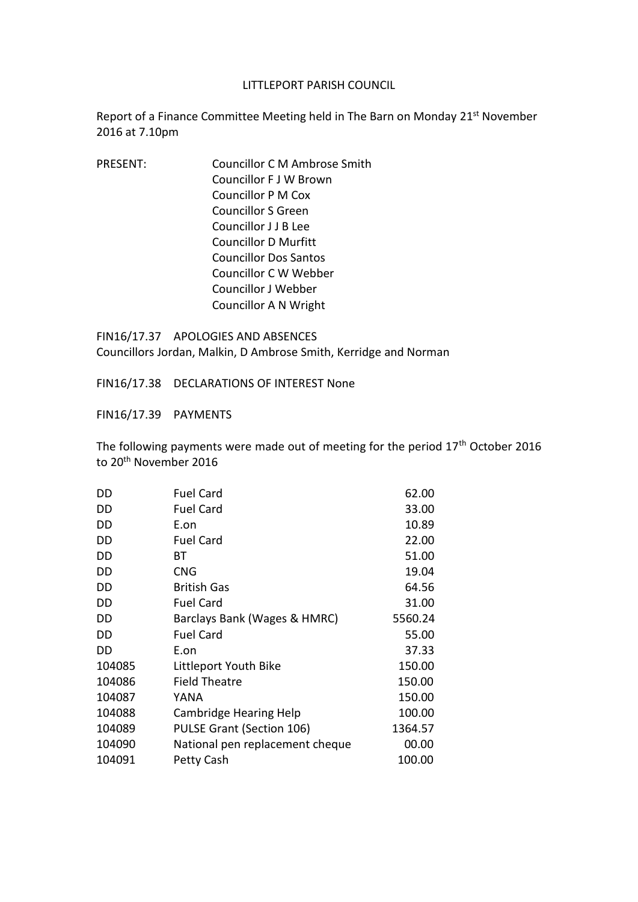## LITTLEPORT PARISH COUNCIL

Report of a Finance Committee Meeting held in The Barn on Monday 21<sup>st</sup> November 2016 at 7.10pm

PRESENT: Councillor C M Ambrose Smith Councillor F J W Brown Councillor P M Cox Councillor S Green Councillor J J B Lee Councillor D Murfitt Councillor Dos Santos Councillor C W Webber Councillor J Webber Councillor A N Wright

FIN16/17.37 APOLOGIES AND ABSENCES Councillors Jordan, Malkin, D Ambrose Smith, Kerridge and Norman

FIN16/17.38 DECLARATIONS OF INTEREST None

FIN16/17.39 PAYMENTS

The following payments were made out of meeting for the period 17<sup>th</sup> October 2016 to 20th November 2016

| DD     | <b>Fuel Card</b>                 | 62.00   |
|--------|----------------------------------|---------|
| DD     | <b>Fuel Card</b>                 | 33.00   |
| DD     | E.on                             | 10.89   |
| DD     | <b>Fuel Card</b>                 | 22.00   |
| DD     | BТ                               | 51.00   |
| DD     | <b>CNG</b>                       | 19.04   |
| DD     | <b>British Gas</b>               | 64.56   |
| DD     | <b>Fuel Card</b>                 | 31.00   |
| DD     | Barclays Bank (Wages & HMRC)     | 5560.24 |
| DD     | <b>Fuel Card</b>                 | 55.00   |
| DD     | E.on                             | 37.33   |
| 104085 | Littleport Youth Bike            | 150.00  |
| 104086 | <b>Field Theatre</b>             | 150.00  |
| 104087 | YANA                             | 150.00  |
| 104088 | <b>Cambridge Hearing Help</b>    | 100.00  |
| 104089 | <b>PULSE Grant (Section 106)</b> | 1364.57 |
| 104090 | National pen replacement cheque  | 00.00   |
| 104091 | Petty Cash                       | 100.00  |